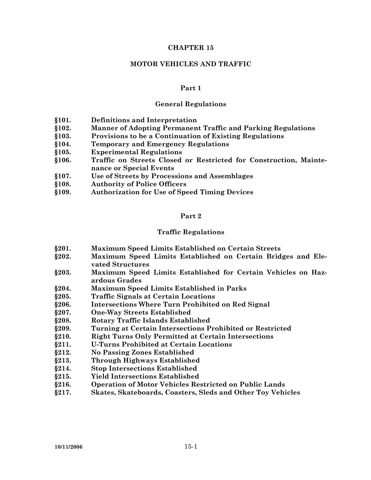#### **CHAPTER 15**

#### **MOTOR VEHICLES AND TRAFFIC**

#### **Part 1**

#### **General Regulations**

- **§101. Definitions and Interpretation**
- **§102. Manner of Adopting Permanent Traffic and Parking Regulations**
- **§103. Provisions to be a Continuation of Existing Regulations**
- **§104. Temporary and Emergency Regulations**
- **§105. Experimental Regulations**
- **§106. Traffic on Streets Closed or Restricted for Construction, Maintenance or Special Events**
- **§107. Use of Streets by Processions and Assemblages**
- **§108. Authority of Police Officers**
- **§109. Authorization for Use of Speed Timing Devices**

#### **Part 2**

#### **Traffic Regulations**

- **§201. Maximum Speed Limits Established on Certain Streets**
- **§202. Maximum Speed Limits Established on Certain Bridges and Elevated Structures**
- **§203. Maximum Speed Limits Established for Certain Vehicles on Hazardous Grades**
- **§204. Maximum Speed Limits Established in Parks**
- **§205. Traffic Signals at Certain Locations**
- **§206. Intersections Where Turn Prohibited on Red Signal**
- **§207. One-Way Streets Established**
- **§208. Rotary Traffic Islands Established**
- **§209. Turning at Certain Intersections Prohibited or Restricted**
- **§210. Right Turns Only Permitted at Certain Intersections**
- **§211. U-Turns Prohibited at Certain Locations**
- **§212. No Passing Zones Established**
- **§213. Through Highways Established**
- **§214. Stop Intersections Established**
- **§215. Yield Intersections Established**
- **§216. Operation of Motor Vehicles Restricted on Public Lands**
- **§217. Skates, Skateboards, Coasters, Sleds and Other Toy Vehicles**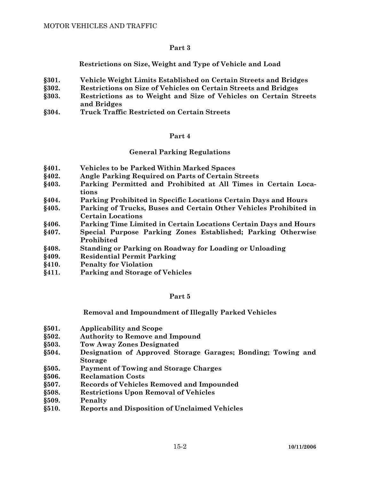**Restrictions on Size, Weight and Type of Vehicle and Load** 

- **§301. Vehicle Weight Limits Established on Certain Streets and Bridges**
- **§302. Restrictions on Size of Vehicles on Certain Streets and Bridges**
- **§303. Restrictions as to Weight and Size of Vehicles on Certain Streets and Bridges**
- **§304. Truck Traffic Restricted on Certain Streets**

# **Part 4**

# **General Parking Regulations**

- **§401. Vehicles to be Parked Within Marked Spaces**
- **§402. Angle Parking Required on Parts of Certain Streets**
- **§403. Parking Permitted and Prohibited at All Times in Certain Locations**
- **§404. Parking Prohibited in Specific Locations Certain Days and Hours**
- **§405. Parking of Trucks, Buses and Certain Other Vehicles Prohibited in Certain Locations**
- **§406. Parking Time Limited in Certain Locations Certain Days and Hours**
- **§407. Special Purpose Parking Zones Established; Parking Otherwise Prohibited**
- **§408. Standing or Parking on Roadway for Loading or Unloading**
- **§409. Residential Permit Parking**
- **§410. Penalty for Violation**
- **§411. Parking and Storage of Vehicles**

# **Part 5**

# **Removal and Impoundment of Illegally Parked Vehicles**

- **§501. Applicability and Scope**
- **§502. Authority to Remove and Impound**
- **§503. Tow Away Zones Designated**
- **§504. Designation of Approved Storage Garages; Bonding; Towing and Storage**
- **§505. Payment of Towing and Storage Charges**
- **§506. Reclamation Costs**
- **§507. Records of Vehicles Removed and Impounded**
- **§508. Restrictions Upon Removal of Vehicles**
- **§509. Penalty**
- **§510. Reports and Disposition of Unclaimed Vehicles**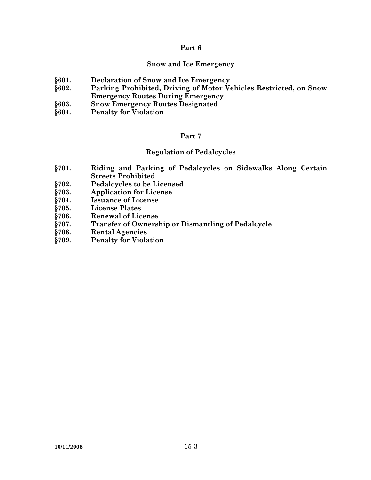#### **Snow and Ice Emergency**

- **§601. Declaration of Snow and Ice Emergency**
- **§602. Parking Prohibited, Driving of Motor Vehicles Restricted, on Snow Emergency Routes During Emergency**
- **§603. Snow Emergency Routes Designated**
- **§604. Penalty for Violation**

#### **Part 7**

## **Regulation of Pedalcycles**

- **§701. Riding and Parking of Pedalcycles on Sidewalks Along Certain Streets Prohibited**
- **§702. Pedalcycles to be Licensed**
- **§703. Application for License**
- **§704. Issuance of License**
- **§705. License Plates**
- **§706. Renewal of License**
- **§707. Transfer of Ownership or Dismantling of Pedalcycle**
- **§708. Rental Agencies**
- **§709. Penalty for Violation**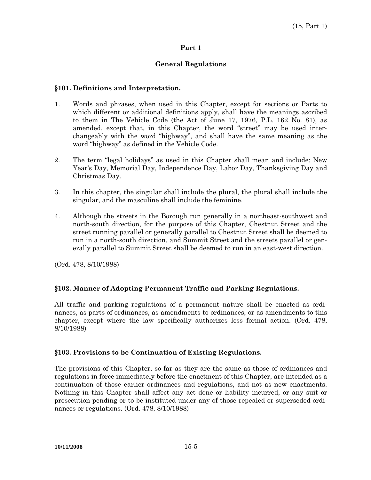# **General Regulations**

# **§101. Definitions and Interpretation.**

- 1. Words and phrases, when used in this Chapter, except for sections or Parts to which different or additional definitions apply, shall have the meanings ascribed to them in The Vehicle Code (the Act of June 17, 1976, P.L. 162 No. 81), as amended, except that, in this Chapter, the word "street" may be used interchangeably with the word "highway", and shall have the same meaning as the word "highway" as defined in the Vehicle Code.
- 2. The term "legal holidays" as used in this Chapter shall mean and include: New Year's Day, Memorial Day, Independence Day, Labor Day, Thanksgiving Day and Christmas Day.
- 3. In this chapter, the singular shall include the plural, the plural shall include the singular, and the masculine shall include the feminine.
- 4. Although the streets in the Borough run generally in a northeast-southwest and north-south direction, for the purpose of this Chapter, Chestnut Street and the street running parallel or generally parallel to Chestnut Street shall be deemed to run in a north-south direction, and Summit Street and the streets parallel or generally parallel to Summit Street shall be deemed to run in an east-west direction.

(Ord. 478, 8/10/1988)

# **§102. Manner of Adopting Permanent Traffic and Parking Regulations.**

All traffic and parking regulations of a permanent nature shall be enacted as ordinances, as parts of ordinances, as amendments to ordinances, or as amendments to this chapter, except where the law specifically authorizes less formal action. (Ord. 478, 8/10/1988)

#### **§103. Provisions to be Continuation of Existing Regulations.**

The provisions of this Chapter, so far as they are the same as those of ordinances and regulations in force immediately before the enactment of this Chapter, are intended as a continuation of those earlier ordinances and regulations, and not as new enactments. Nothing in this Chapter shall affect any act done or liability incurred, or any suit or prosecution pending or to be instituted under any of those repealed or superseded ordinances or regulations. (Ord. 478, 8/10/1988)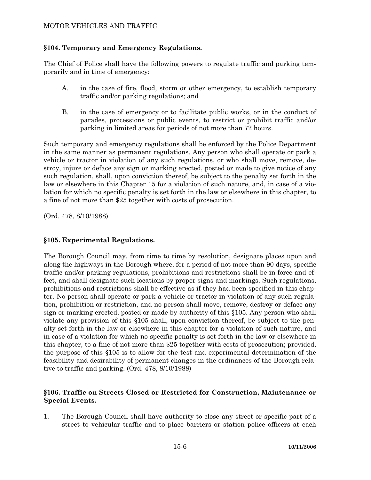# **§104. Temporary and Emergency Regulations.**

The Chief of Police shall have the following powers to regulate traffic and parking temporarily and in time of emergency:

- A. in the case of fire, flood, storm or other emergency, to establish temporary traffic and/or parking regulations; and
- B. in the case of emergency or to facilitate public works, or in the conduct of parades, processions or public events, to restrict or prohibit traffic and/or parking in limited areas for periods of not more than 72 hours.

Such temporary and emergency regulations shall be enforced by the Police Department in the same manner as permanent regulations. Any person who shall operate or park a vehicle or tractor in violation of any such regulations, or who shall move, remove, destroy, injure or deface any sign or marking erected, posted or made to give notice of any such regulation, shall, upon conviction thereof, be subject to the penalty set forth in the law or elsewhere in this Chapter 15 for a violation of such nature, and, in case of a violation for which no specific penalty is set forth in the law or elsewhere in this chapter, to a fine of not more than \$25 together with costs of prosecution.

(Ord. 478, 8/10/1988)

# **§105. Experimental Regulations.**

The Borough Council may, from time to time by resolution, designate places upon and along the highways in the Borough where, for a period of not more than 90 days, specific traffic and/or parking regulations, prohibitions and restrictions shall be in force and effect, and shall designate such locations by proper signs and markings. Such regulations, prohibitions and restrictions shall be effective as if they had been specified in this chapter. No person shall operate or park a vehicle or tractor in violation of any such regulation, prohibition or restriction, and no person shall move, remove, destroy or deface any sign or marking erected, posted or made by authority of this §105. Any person who shall violate any provision of this §105 shall, upon conviction thereof, be subject to the penalty set forth in the law or elsewhere in this chapter for a violation of such nature, and in case of a violation for which no specific penalty is set forth in the law or elsewhere in this chapter, to a fine of not more than \$25 together with costs of prosecution; provided, the purpose of this §105 is to allow for the test and experimental determination of the feasibility and desirability of permanent changes in the ordinances of the Borough relative to traffic and parking. (Ord. 478, 8/10/1988)

## **§106. Traffic on Streets Closed or Restricted for Construction, Maintenance or Special Events.**

1. The Borough Council shall have authority to close any street or specific part of a street to vehicular traffic and to place barriers or station police officers at each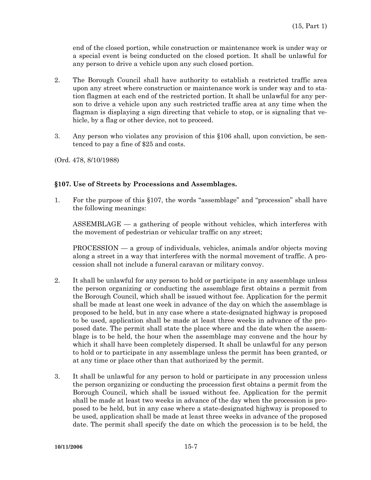end of the closed portion, while construction or maintenance work is under way or a special event is being conducted on the closed portion. It shall be unlawful for any person to drive a vehicle upon any such closed portion.

- 2. The Borough Council shall have authority to establish a restricted traffic area upon any street where construction or maintenance work is under way and to station flagmen at each end of the restricted portion. It shall be unlawful for any person to drive a vehicle upon any such restricted traffic area at any time when the flagman is displaying a sign directing that vehicle to stop, or is signaling that vehicle, by a flag or other device, not to proceed.
- 3. Any person who violates any provision of this §106 shall, upon conviction, be sentenced to pay a fine of \$25 and costs.
- (Ord. 478, 8/10/1988)

## **§107. Use of Streets by Processions and Assemblages.**

1. For the purpose of this §107, the words "assemblage" and "procession" shall have the following meanings:

 ASSEMBLAGE — a gathering of people without vehicles, which interferes with the movement of pedestrian or vehicular traffic on any street;

 PROCESSION — a group of individuals, vehicles, animals and/or objects moving along a street in a way that interferes with the normal movement of traffic. A procession shall not include a funeral caravan or military convoy.

- 2. It shall be unlawful for any person to hold or participate in any assemblage unless the person organizing or conducting the assemblage first obtains a permit from the Borough Council, which shall be issued without fee. Application for the permit shall be made at least one week in advance of the day on which the assemblage is proposed to be held, but in any case where a state-designated highway is proposed to be used, application shall be made at least three weeks in advance of the proposed date. The permit shall state the place where and the date when the assemblage is to be held, the hour when the assemblage may convene and the hour by which it shall have been completely dispersed. It shall be unlawful for any person to hold or to participate in any assemblage unless the permit has been granted, or at any time or place other than that authorized by the permit.
- 3. It shall be unlawful for any person to hold or participate in any procession unless the person organizing or conducting the procession first obtains a permit from the Borough Council, which shall be issued without fee. Application for the permit shall be made at least two weeks in advance of the day when the procession is proposed to be held, but in any case where a state-designated highway is proposed to be used, application shall be made at least three weeks in advance of the proposed date. The permit shall specify the date on which the procession is to be held, the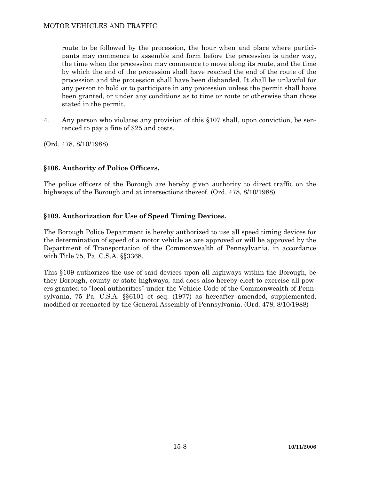route to be followed by the procession, the hour when and place where participants may commence to assemble and form before the procession is under way, the time when the procession may commence to move along its route, and the time by which the end of the procession shall have reached the end of the route of the procession and the procession shall have been disbanded. It shall be unlawful for any person to hold or to participate in any procession unless the permit shall have been granted, or under any conditions as to time or route or otherwise than those stated in the permit.

4. Any person who violates any provision of this §107 shall, upon conviction, be sentenced to pay a fine of \$25 and costs.

(Ord. 478, 8/10/1988)

# **§108. Authority of Police Officers.**

The police officers of the Borough are hereby given authority to direct traffic on the highways of the Borough and at intersections thereof. (Ord. 478, 8/10/1988)

# **§109. Authorization for Use of Speed Timing Devices.**

The Borough Police Department is hereby authorized to use all speed timing devices for the determination of speed of a motor vehicle as are approved or will be approved by the Department of Transportation of the Commonwealth of Pennsylvania, in accordance with Title 75, Pa. C.S.A. §§3368.

This §109 authorizes the use of said devices upon all highways within the Borough, be they Borough, county or state highways, and does also hereby elect to exercise all powers granted to "local authorities" under the Vehicle Code of the Commonwealth of Pennsylvania, 75 Pa. C.S.A. §§6101 et seq. (1977) as hereafter amended, supplemented, modified or reenacted by the General Assembly of Pennsylvania. (Ord. 478, 8/10/1988)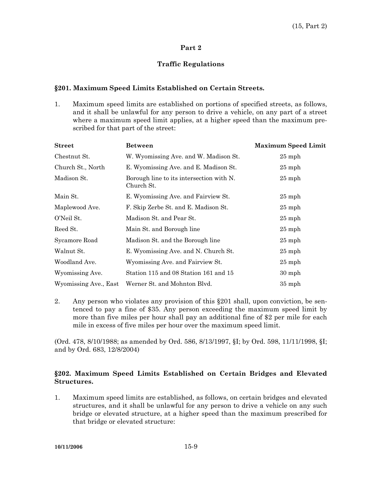# **Traffic Regulations**

# **§201. Maximum Speed Limits Established on Certain Streets.**

1. Maximum speed limits are established on portions of specified streets, as follows, and it shall be unlawful for any person to drive a vehicle, on any part of a street where a maximum speed limit applies, at a higher speed than the maximum prescribed for that part of the street:

| <b>Street</b>         | <b>Between</b>                                         | <b>Maximum Speed Limit</b> |
|-----------------------|--------------------------------------------------------|----------------------------|
| Chestnut St.          | W. Wyomissing Ave. and W. Madison St.                  | $25$ mph                   |
| Church St., North     | E. Wyomissing Ave. and E. Madison St.                  | $25$ mph                   |
| Madison St.           | Borough line to its intersection with N.<br>Church St. | $25$ mph                   |
| Main St.              | E. Wyomissing Ave. and Fairview St.                    | $25$ mph                   |
| Maplewood Ave.        | F. Skip Zerbe St. and E. Madison St.                   | $25$ mph                   |
| O'Neil St.            | Madison St. and Pear St.                               | $25$ mph                   |
| Reed St.              | Main St. and Borough line                              | $25$ mph                   |
| Sycamore Road         | Madison St. and the Borough line                       | $25$ mph                   |
| Walnut St.            | E. Wyomissing Ave. and N. Church St.                   | $25$ mph                   |
| Woodland Ave.         | Wyomissing Ave. and Fairview St.                       | $25$ mph                   |
| Wyomissing Ave.       | Station 115 and 08 Station 161 and 15                  | $30$ mph                   |
| Wyomissing Ave., East | Werner St. and Mohnton Blvd.                           | $35$ mph                   |

2. Any person who violates any provision of this §201 shall, upon conviction, be sentenced to pay a fine of \$35. Any person exceeding the maximum speed limit by more than five miles per hour shall pay an additional fine of \$2 per mile for each mile in excess of five miles per hour over the maximum speed limit.

(Ord. 478, 8/10/1988; as amended by Ord. 586, 8/13/1997, §I; by Ord. 598, 11/11/1998, §I; and by Ord. 683, 12/8/2004)

# **§202. Maximum Speed Limits Established on Certain Bridges and Elevated Structures.**

1. Maximum speed limits are established, as follows, on certain bridges and elevated structures, and it shall be unlawful for any person to drive a vehicle on any such bridge or elevated structure, at a higher speed than the maximum prescribed for that bridge or elevated structure: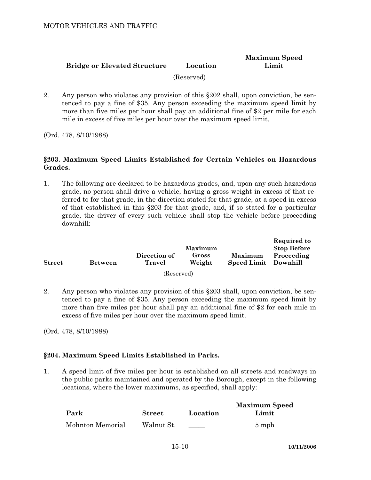#### **Bridge or Elevated Structure Location Maximum Speed Limit**

(Reserved)

2. Any person who violates any provision of this §202 shall, upon conviction, be sentenced to pay a fine of \$35. Any person exceeding the maximum speed limit by more than five miles per hour shall pay an additional fine of \$2 per mile for each mile in excess of five miles per hour over the maximum speed limit.

(Ord. 478, 8/10/1988)

# **§203. Maximum Speed Limits Established for Certain Vehicles on Hazardous Grades.**

1. The following are declared to be hazardous grades, and, upon any such hazardous grade, no person shall drive a vehicle, having a gross weight in excess of that referred to for that grade, in the direction stated for that grade, at a speed in excess of that established in this §203 for that grade, and, if so stated for a particular grade, the driver of every such vehicle shall stop the vehicle before proceeding downhill:

| <b>Street</b> | <b>Between</b> | Direction of<br>Travel | <b>Maximum</b><br>Gross<br>Weight | <b>Maximum</b><br>Speed Limit Downhill | wegun eu to<br><b>Stop Before</b><br>Proceeding |
|---------------|----------------|------------------------|-----------------------------------|----------------------------------------|-------------------------------------------------|
|               |                | (Reserved)             |                                   |                                        |                                                 |

2. Any person who violates any provision of this §203 shall, upon conviction, be sentenced to pay a fine of \$35. Any person exceeding the maximum speed limit by more than five miles per hour shall pay an additional fine of \$2 for each mile in excess of five miles per hour over the maximum speed limit.

(Ord. 478, 8/10/1988)

# **§204. Maximum Speed Limits Established in Parks.**

1. A speed limit of five miles per hour is established on all streets and roadways in the public parks maintained and operated by the Borough, except in the following locations, where the lower maximums, as specified, shall apply:

|                  |               |          | <b>Maximum Speed</b> |
|------------------|---------------|----------|----------------------|
| Park             | <b>Street</b> | Location | Limit                |
| Mohnton Memorial | Walnut St.    |          | $5 \text{ mph}$      |

**Required to**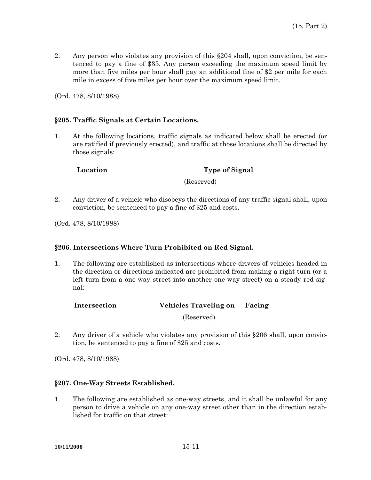2. Any person who violates any provision of this §204 shall, upon conviction, be sentenced to pay a fine of \$35. Any person exceeding the maximum speed limit by more than five miles per hour shall pay an additional fine of \$2 per mile for each mile in excess of five miles per hour over the maximum speed limit.

(Ord. 478, 8/10/1988)

### **§205. Traffic Signals at Certain Locations.**

1. At the following locations, traffic signals as indicated below shall be erected (or are ratified if previously erected), and traffic at those locations shall be directed by those signals:

**Location Type of Signal** 

(Reserved)

- 2. Any driver of a vehicle who disobeys the directions of any traffic signal shall, upon conviction, be sentenced to pay a fine of \$25 and costs.
- (Ord. 478, 8/10/1988)

# **§206. Intersections Where Turn Prohibited on Red Signal.**

1. The following are established as intersections where drivers of vehicles headed in the direction or directions indicated are prohibited from making a right turn (or a left turn from a one-way street into another one-way street) on a steady red signal:

|  | Intersection | <b>Vehicles Traveling on</b> | Facing |
|--|--------------|------------------------------|--------|
|--|--------------|------------------------------|--------|

(Reserved)

2. Any driver of a vehicle who violates any provision of this §206 shall, upon conviction, be sentenced to pay a fine of \$25 and costs.

(Ord. 478, 8/10/1988)

# **§207. One-Way Streets Established.**

1. The following are established as one-way streets, and it shall be unlawful for any person to drive a vehicle on any one-way street other than in the direction established for traffic on that street: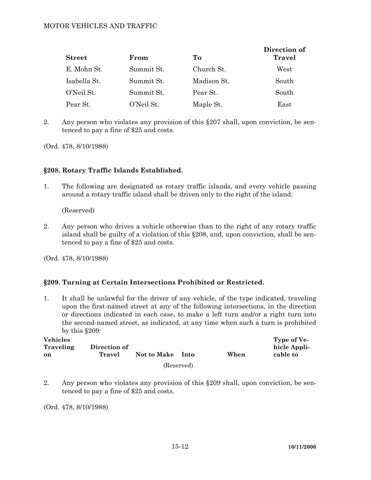| <b>Street</b> | From       | Tо          | Direction of<br><b>Travel</b> |
|---------------|------------|-------------|-------------------------------|
| E. Mohn St.   | Summit St. | Church St.  | West                          |
| Isabella St.  | Summit St. | Madison St. | South                         |
| O'Neil St.    | Summit St. | Pear St.    | South                         |
| Pear St.      | O'Neil St. | Maple St.   | $\text{East}$                 |

2. Any person who violates any provision of this §207 shall, upon conviction, be sentenced to pay a fine of \$25 and costs.

(Ord. 478, 8/10/1988)

## **§208. Rotary Traffic Islands Established.**

1. The following are designated as rotary traffic islands, and every vehicle passing around a rotary traffic island shall be driven only to the right of the island:

(Reserved)

2. Any person who drives a vehicle otherwise than to the right of any rotary traffic island shall be guilty of a violation of this §208, and, upon conviction, shall be sentenced to pay a fine of \$25 and costs.

(Ord. 478, 8/10/1988)

# **§209. Turning at Certain Intersections Prohibited or Restricted.**

1. It shall be unlawful for the driver of any vehicle, of the type indicated, traveling upon the first-named street at any of the following intersections, in the direction or directions indicated in each case, to make a left turn and/or a right turn into the second-named street, as indicated, at any time when such a turn is prohibited by this §209:

| <b>Vehicles</b><br>Traveling<br>on | Direction of<br>Travel | Not to Make | <b>Into</b> | When | Type of Ve-<br>hicle Appli-<br>cable to |
|------------------------------------|------------------------|-------------|-------------|------|-----------------------------------------|
|                                    |                        |             | (Reserved)  |      |                                         |

2. Any person who violates any provision of this §209 shall, upon conviction, be sentenced to pay a fine of \$25 and costs.

(Ord. 478, 8/10/1988)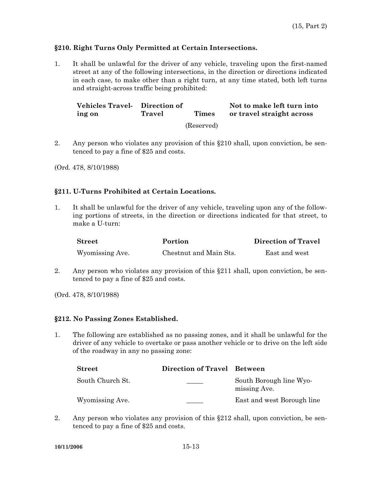## **§210. Right Turns Only Permitted at Certain Intersections.**

1. It shall be unlawful for the driver of any vehicle, traveling upon the first-named street at any of the following intersections, in the direction or directions indicated in each case, to make other than a right turn, at any time stated, both left turns and straight-across traffic being prohibited:

**Vehicles Travel-Direction of ing on Travel Times Not to make left turn into or travel straight across**  (Reserved)

- 2. Any person who violates any provision of this §210 shall, upon conviction, be sentenced to pay a fine of \$25 and costs.
- (Ord. 478, 8/10/1988)

# **§211. U-Turns Prohibited at Certain Locations.**

1. It shall be unlawful for the driver of any vehicle, traveling upon any of the following portions of streets, in the direction or directions indicated for that street, to make a U-turn:

| <b>Street</b>   | Portion                | Direction of Travel |
|-----------------|------------------------|---------------------|
| Wyomissing Ave. | Chestnut and Main Sts. | East and west       |

- 2. Any person who violates any provision of this §211 shall, upon conviction, be sentenced to pay a fine of \$25 and costs.
- (Ord. 478, 8/10/1988)

#### **§212. No Passing Zones Established.**

1. The following are established as no passing zones, and it shall be unlawful for the driver of any vehicle to overtake or pass another vehicle or to drive on the left side of the roadway in any no passing zone:

| <b>Street</b>    | Direction of Travel Between |                                         |
|------------------|-----------------------------|-----------------------------------------|
| South Church St. |                             | South Borough line Wyo-<br>missing Ave. |
| Wyomissing Ave.  |                             | East and west Borough line              |

2. Any person who violates any provision of this §212 shall, upon conviction, be sentenced to pay a fine of \$25 and costs.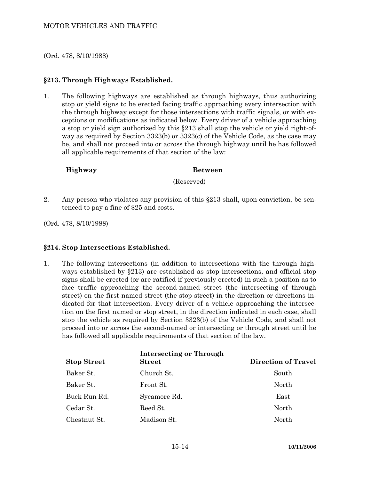(Ord. 478, 8/10/1988)

# **§213. Through Highways Established.**

1. The following highways are established as through highways, thus authorizing stop or yield signs to be erected facing traffic approaching every intersection with the through highway except for those intersections with traffic signals, or with exceptions or modifications as indicated below. Every driver of a vehicle approaching a stop or yield sign authorized by this §213 shall stop the vehicle or yield right-ofway as required by Section 3323(b) or 3323(c) of the Vehicle Code, as the case may be, and shall not proceed into or across the through highway until he has followed all applicable requirements of that section of the law:

## **Highway Between**

(Reserved)

2. Any person who violates any provision of this §213 shall, upon conviction, be sentenced to pay a fine of \$25 and costs.

(Ord. 478, 8/10/1988)

#### **§214. Stop Intersections Established.**

1. The following intersections (in addition to intersections with the through highways established by §213) are established as stop intersections, and official stop signs shall be erected (or are ratified if previously erected) in such a position as to face traffic approaching the second-named street (the intersecting of through street) on the first-named street (the stop street) in the direction or directions indicated for that intersection. Every driver of a vehicle approaching the intersection on the first named or stop street, in the direction indicated in each case, shall stop the vehicle as required by Section 3323(b) of the Vehicle Code, and shall not proceed into or across the second-named or intersecting or through street until he has followed all applicable requirements of that section of the law.

| <b>Stop Street</b> | <b>Intersecting or Through</b><br><b>Street</b> | <b>Direction of Travel</b> |
|--------------------|-------------------------------------------------|----------------------------|
| Baker St.          | Church St.                                      | South                      |
| Baker St.          | Front St.                                       | North                      |
| Buck Run Rd.       | Sycamore Rd.                                    | East                       |
| Cedar St.          | Reed St.                                        | North                      |
| Chestnut St.       | Madison St.                                     | North                      |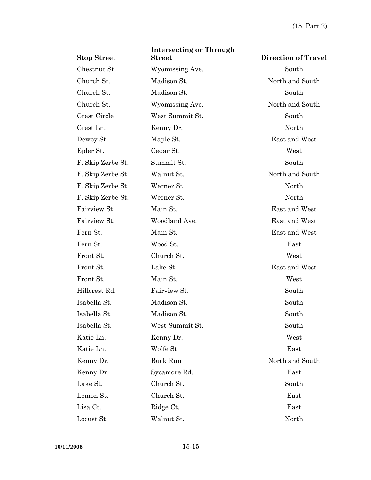| <b>Stop Street</b> | <b>Intersecting or Through</b><br><b>Street</b> | <b>Direction of Travel</b> |
|--------------------|-------------------------------------------------|----------------------------|
| Chestnut St.       | Wyomissing Ave.                                 | South                      |
| Church St.         | Madison St.                                     | North and South            |
| Church St.         | Madison St.                                     | South                      |
| Church St.         | Wyomissing Ave.                                 | North and South            |
| Crest Circle       | West Summit St.                                 | South                      |
| Crest Ln.          | Kenny Dr.                                       | North                      |
| Dewey St.          | Maple St.                                       | East and West              |
| Epler St.          | Cedar St.                                       | West                       |
| F. Skip Zerbe St.  | Summit St.                                      | South                      |
| F. Skip Zerbe St.  | Walnut St.                                      | North and South            |
| F. Skip Zerbe St.  | Werner St                                       | North                      |
| F. Skip Zerbe St.  | Werner St.                                      | North                      |
| Fairview St.       | Main St.                                        | East and West              |
| Fairview St.       | Woodland Ave.                                   | East and West              |
| Fern St.           | Main St.                                        | East and West              |
| Fern St.           | Wood St.                                        | East                       |
| Front St.          | Church St.                                      | West                       |
| Front St.          | Lake St.                                        | East and West              |
| Front St.          | Main St.                                        | West                       |
| Hillcrest Rd.      | Fairview St.                                    | South                      |
| Isabella St.       | Madison St.                                     | South                      |
| Isabella St.       | Madison St.                                     | South                      |
| Isabella St.       | West Summit St.                                 | South                      |
| Katie Ln.          | Kenny Dr.                                       | West                       |
| Katie Ln.          | Wolfe St.                                       | East                       |
| Kenny Dr.          | Buck Run                                        | North and South            |
| Kenny Dr.          | Sycamore Rd.                                    | East                       |
| Lake St.           | Church St.                                      | South                      |
| Lemon St.          | Church St.                                      | East                       |
| Lisa Ct.           | Ridge Ct.                                       | East                       |
| Locust St.         | Walnut St.                                      | North                      |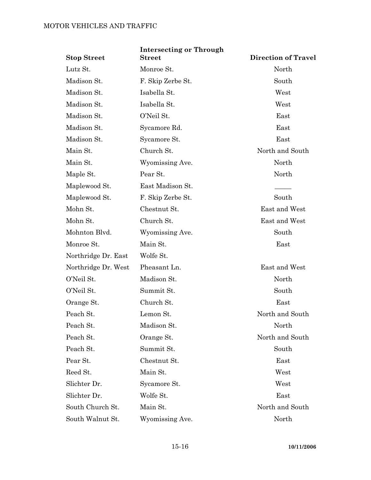| <b>Stop Street</b>  | <b>Intersecting or Through</b><br><b>Street</b> | <b>Direction of Travel</b> |
|---------------------|-------------------------------------------------|----------------------------|
| Lutz St.            | Monroe St.                                      | North                      |
| Madison St.         | F. Skip Zerbe St.                               | South                      |
| Madison St.         | Isabella St.                                    | West                       |
| Madison St.         | Isabella St.                                    | West                       |
| Madison St.         | O'Neil St.                                      | East                       |
| Madison St.         | Sycamore Rd.                                    | East                       |
| Madison St.         | Sycamore St.                                    | East                       |
| Main St.            | Church St.                                      | North and South            |
| Main St.            | Wyomissing Ave.                                 | North                      |
| Maple St.           | Pear St.                                        | North                      |
| Maplewood St.       | East Madison St.                                |                            |
| Maplewood St.       | F. Skip Zerbe St.                               | South                      |
| Mohn St.            | Chestnut St.                                    | East and West              |
| Mohn St.            | Church St.                                      | East and West              |
| Mohnton Blvd.       | Wyomissing Ave.                                 | South                      |
| Monroe St.          | Main St.                                        | East                       |
| Northridge Dr. East | Wolfe St.                                       |                            |
| Northridge Dr. West | Pheasant Ln.                                    | East and West              |
| O'Neil St.          | Madison St.                                     | North                      |
| O'Neil St.          | Summit St.                                      | South                      |
| Orange St.          | Church St.                                      | East                       |
| Peach St.           | Lemon St.                                       | North and South            |
| Peach St.           | Madison St.                                     | North                      |
| Peach St.           | Orange St.                                      | North and South            |
| Peach St.           | Summit St.                                      | South                      |
| Pear St.            | Chestnut St.                                    | East                       |
| Reed St.            | Main St.                                        | West                       |
| Slichter Dr.        | Sycamore St.                                    | West                       |
| Slichter Dr.        | Wolfe St.                                       | East                       |
| South Church St.    | Main St.                                        | North and South            |
| South Walnut St.    | Wyomissing Ave.                                 | North                      |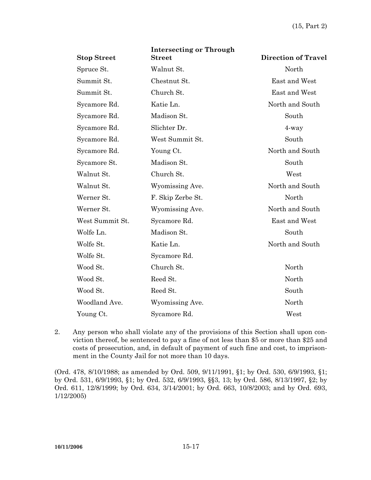| <b>Stop Street</b> | <b>Intersecting or Through</b><br><b>Street</b> | <b>Direction of Travel</b> |
|--------------------|-------------------------------------------------|----------------------------|
|                    |                                                 |                            |
| Spruce St.         | Walnut St.                                      | North                      |
| Summit St.         | Chestnut St.                                    | East and West              |
| Summit St.         | Church St.                                      | East and West              |
| Sycamore Rd.       | Katie Ln.                                       | North and South            |
| Sycamore Rd.       | Madison St.                                     | South                      |
| Sycamore Rd.       | Slichter Dr.                                    | $4$ -way                   |
| Sycamore Rd.       | West Summit St.                                 | South                      |
| Sycamore Rd.       | Young Ct.                                       | North and South            |
| Sycamore St.       | Madison St.                                     | South                      |
| Walnut St.         | Church St.                                      | West                       |
| Walnut St.         | Wyomissing Ave.                                 | North and South            |
| Werner St.         | F. Skip Zerbe St.                               | North                      |
| Werner St.         | Wyomissing Ave.                                 | North and South            |
| West Summit St.    | Sycamore Rd.                                    | East and West              |
| Wolfe Ln.          | Madison St.                                     | South                      |
| Wolfe St.          | Katie Ln.                                       | North and South            |
| Wolfe St.          | Sycamore Rd.                                    |                            |
| Wood St.           | Church St.                                      | North                      |
| Wood St.           | Reed St.                                        | North                      |
| Wood St.           | Reed St.                                        | South                      |
| Woodland Ave.      | Wyomissing Ave.                                 | North                      |
| Young Ct.          | Sycamore Rd.                                    | West                       |

2. Any person who shall violate any of the provisions of this Section shall upon conviction thereof, be sentenced to pay a fine of not less than \$5 or more than \$25 and costs of prosecution, and, in default of payment of such fine and cost, to imprisonment in the County Jail for not more than 10 days.

(Ord. 478, 8/10/1988; as amended by Ord. 509, 9/11/1991, §1; by Ord. 530, 6/9/1993, §1; by Ord. 531, 6/9/1993, §1; by Ord. 532, 6/9/1993, §§3, 13; by Ord. 586, 8/13/1997, §2; by Ord. 611, 12/8/1999; by Ord. 634, 3/14/2001; by Ord. 663, 10/8/2003; and by Ord. 693, 1/12/2005)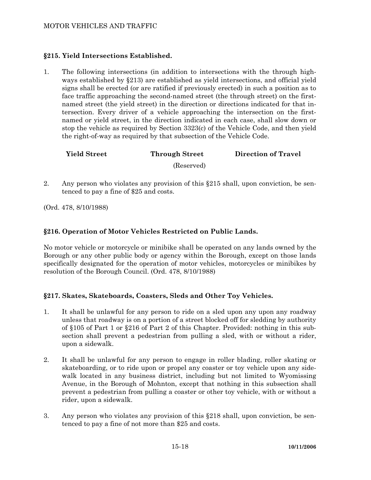# **§215. Yield Intersections Established.**

1. The following intersections (in addition to intersections with the through highways established by §213) are established as yield intersections, and official yield signs shall be erected (or are ratified if previously erected) in such a position as to face traffic approaching the second-named street (the through street) on the firstnamed street (the yield street) in the direction or directions indicated for that intersection. Every driver of a vehicle approaching the intersection on the firstnamed or yield street, in the direction indicated in each case, shall slow down or stop the vehicle as required by Section 3323(c) of the Vehicle Code, and then yield the right-of-way as required by that subsection of the Vehicle Code.

# **Yield Street Through Street Direction of Travel**

(Reserved)

2. Any person who violates any provision of this §215 shall, upon conviction, be sentenced to pay a fine of \$25 and costs.

(Ord. 478, 8/10/1988)

# **§216. Operation of Motor Vehicles Restricted on Public Lands.**

No motor vehicle or motorcycle or minibike shall be operated on any lands owned by the Borough or any other public body or agency within the Borough, except on those lands specifically designated for the operation of motor vehicles, motorcycles or minibikes by resolution of the Borough Council. (Ord. 478, 8/10/1988)

# **§217. Skates, Skateboards, Coasters, Sleds and Other Toy Vehicles.**

- 1. It shall be unlawful for any person to ride on a sled upon any upon any roadway unless that roadway is on a portion of a street blocked off for sledding by authority of §105 of Part 1 or §216 of Part 2 of this Chapter. Provided: nothing in this subsection shall prevent a pedestrian from pulling a sled, with or without a rider, upon a sidewalk.
- 2. It shall be unlawful for any person to engage in roller blading, roller skating or skateboarding, or to ride upon or propel any coaster or toy vehicle upon any sidewalk located in any business district, including but not limited to Wyomissing Avenue, in the Borough of Mohnton, except that nothing in this subsection shall prevent a pedestrian from pulling a coaster or other toy vehicle, with or without a rider, upon a sidewalk.
- 3. Any person who violates any provision of this §218 shall, upon conviction, be sentenced to pay a fine of not more than \$25 and costs.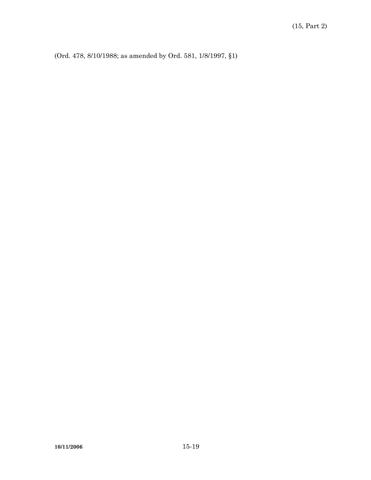(Ord. 478, 8/10/1988; as amended by Ord. 581, 1/8/1997, §1)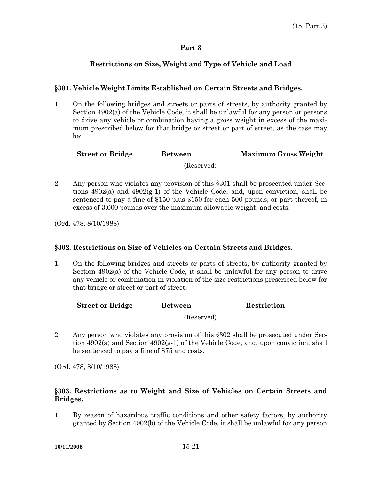# **Restrictions on Size, Weight and Type of Vehicle and Load**

# **§301. Vehicle Weight Limits Established on Certain Streets and Bridges.**

1. On the following bridges and streets or parts of streets, by authority granted by Section 4902(a) of the Vehicle Code, it shall be unlawful for any person or persons to drive any vehicle or combination having a gross weight in excess of the maximum prescribed below for that bridge or street or part of street, as the case may be:

| <b>Street or Bridge</b><br><b>Between</b> | <b>Maximum Gross Weight</b> |
|-------------------------------------------|-----------------------------|
|-------------------------------------------|-----------------------------|

(Reserved)

2. Any person who violates any provision of this §301 shall be prosecuted under Sections  $4902(a)$  and  $4902(g-1)$  of the Vehicle Code, and, upon conviction, shall be sentenced to pay a fine of \$150 plus \$150 for each 500 pounds, or part thereof, in excess of 3,000 pounds over the maximum allowable weight, and costs.

(Ord. 478, 8/10/1988)

#### **§302. Restrictions on Size of Vehicles on Certain Streets and Bridges.**

1. On the following bridges and streets or parts of streets, by authority granted by Section 4902(a) of the Vehicle Code, it shall be unlawful for any person to drive any vehicle or combination in violation of the size restrictions prescribed below for that bridge or street or part of street:

**Street or Bridge Between Restriction** 

(Reserved)

2. Any person who violates any provision of this §302 shall be prosecuted under Section 4902(a) and Section 4902(g-1) of the Vehicle Code, and, upon conviction, shall be sentenced to pay a fine of \$75 and costs.

(Ord. 478, 8/10/1988)

# **§303. Restrictions as to Weight and Size of Vehicles on Certain Streets and Bridges.**

1. By reason of hazardous traffic conditions and other safety factors, by authority granted by Section 4902(b) of the Vehicle Code, it shall be unlawful for any person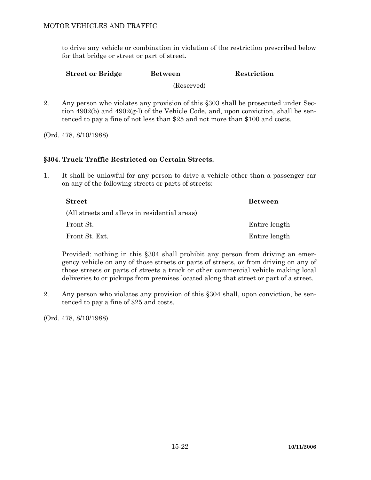to drive any vehicle or combination in violation of the restriction prescribed below for that bridge or street or part of street.

**Street or Bridge Between Restriction** 

(Reserved)

2. Any person who violates any provision of this §303 shall be prosecuted under Section 4902(b) and 4902(g-l) of the Vehicle Code, and, upon conviction, shall be sentenced to pay a fine of not less than \$25 and not more than \$100 and costs.

(Ord. 478, 8/10/1988)

# **§304. Truck Traffic Restricted on Certain Streets.**

1. It shall be unlawful for any person to drive a vehicle other than a passenger car on any of the following streets or parts of streets:

| ${\bf Street}$                                | <b>Between</b> |
|-----------------------------------------------|----------------|
| (All streets and alleys in residential areas) |                |
| Front St.                                     | Entire length  |
| Front St. Ext.                                | Entire length  |

 Provided: nothing in this §304 shall prohibit any person from driving an emergency vehicle on any of those streets or parts of streets, or from driving on any of those streets or parts of streets a truck or other commercial vehicle making local deliveries to or pickups from premises located along that street or part of a street.

2. Any person who violates any provision of this §304 shall, upon conviction, be sentenced to pay a fine of \$25 and costs.

(Ord. 478, 8/10/1988)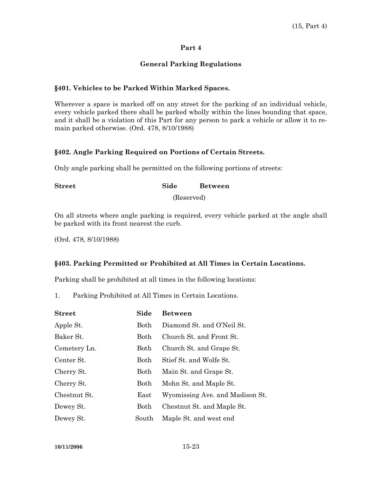# **General Parking Regulations**

# **§401. Vehicles to be Parked Within Marked Spaces.**

Wherever a space is marked off on any street for the parking of an individual vehicle, every vehicle parked there shall be parked wholly within the lines bounding that space, and it shall be a violation of this Part for any person to park a vehicle or allow it to remain parked otherwise. (Ord. 478, 8/10/1988)

# **§402. Angle Parking Required on Portions of Certain Streets.**

Only angle parking shall be permitted on the following portions of streets:

**Street Side Between** 

(Reserved)

On all streets where angle parking is required, every vehicle parked at the angle shall be parked with its front nearest the curb.

(Ord. 478, 8/10/1988)

#### **§403. Parking Permitted or Prohibited at All Times in Certain Locations.**

Parking shall be prohibited at all times in the following locations:

1. Parking Prohibited at All Times in Certain Locations.

| <b>Street</b> | Side  | <b>Between</b>                  |
|---------------|-------|---------------------------------|
| Apple St.     | Both  | Diamond St. and O'Neil St.      |
| Baker St.     | Both  | Church St. and Front St.        |
| Cemetery Ln.  | Both  | Church St. and Grape St.        |
| Center St.    | Both  | Stief St. and Wolfe St.         |
| Cherry St.    | Both  | Main St. and Grape St.          |
| Cherry St.    | Both  | Mohn St. and Maple St.          |
| Chestnut St.  | East  | Wyomissing Ave. and Madison St. |
| Dewey St.     | Both  | Chestnut St. and Maple St.      |
| Dewey St.     | South | Maple St. and west end          |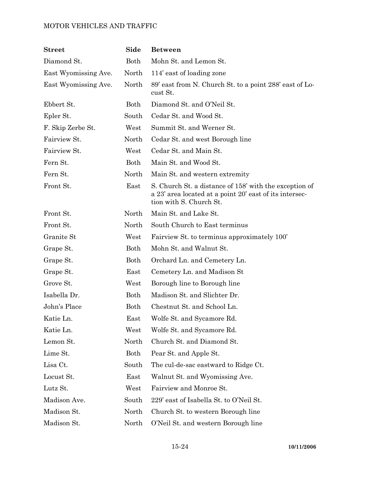| $\operatorname{Street}$ | Side                  | <b>Between</b>                                                                                                                               |
|-------------------------|-----------------------|----------------------------------------------------------------------------------------------------------------------------------------------|
| Diamond St.             | Both                  | Mohn St. and Lemon St.                                                                                                                       |
| East Wyomissing Ave.    | North                 | 114' east of loading zone                                                                                                                    |
| East Wyomissing Ave.    | North                 | 89' east from N. Church St. to a point 288' east of Lo-<br>cust St.                                                                          |
| Ebbert St.              | Both                  | Diamond St. and O'Neil St.                                                                                                                   |
| Epler St.               | South                 | Cedar St. and Wood St.                                                                                                                       |
| F. Skip Zerbe St.       | West                  | Summit St. and Werner St.                                                                                                                    |
| Fairview St.            | North                 | Cedar St. and west Borough line                                                                                                              |
| Fairview St.            | West                  | Cedar St. and Main St.                                                                                                                       |
| Fern St.                | Both                  | Main St. and Wood St.                                                                                                                        |
| Fern St.                | North                 | Main St. and western extremity                                                                                                               |
| Front St.               | East                  | S. Church St. a distance of 158' with the exception of<br>a 23' area located at a point 20' east of its intersec-<br>tion with S. Church St. |
| Front St.               | North                 | Main St. and Lake St.                                                                                                                        |
| Front St.               | North                 | South Church to East terminus                                                                                                                |
| Granite St              | West                  | Fairview St. to terminus approximately 100'                                                                                                  |
| Grape St.               | Both                  | Mohn St. and Walnut St.                                                                                                                      |
| Grape St.               | Both                  | Orchard Ln. and Cemetery Ln.                                                                                                                 |
| Grape St.               | East                  | Cemetery Ln. and Madison St                                                                                                                  |
| Grove St.               | West                  | Borough line to Borough line                                                                                                                 |
| Isabella Dr.            | Both                  | Madison St. and Slichter Dr.                                                                                                                 |
| John's Place            | Both                  | Chestnut St. and School Ln.                                                                                                                  |
| Katie Ln.               | $\operatorname{East}$ | Wolfe St. and Sycamore Rd.                                                                                                                   |
| Katie Ln.               | West                  | Wolfe St. and Sycamore Rd.                                                                                                                   |
| Lemon St.               | North                 | Church St. and Diamond St.                                                                                                                   |
| Lime St.                | Both                  | Pear St. and Apple St.                                                                                                                       |
| Lisa Ct.                | South                 | The cul-de-sac eastward to Ridge Ct.                                                                                                         |
| Locust St.              | East                  | Walnut St. and Wyomissing Ave.                                                                                                               |
| Lutz St.                | West                  | Fairview and Monroe St.                                                                                                                      |
| Madison Ave.            | South                 | 229' east of Isabella St. to O'Neil St.                                                                                                      |
| Madison St.             | North                 | Church St. to western Borough line                                                                                                           |
| Madison St.             | North                 | O'Neil St. and western Borough line                                                                                                          |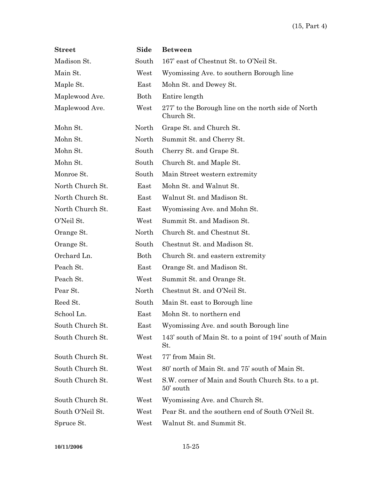| $\bf Street$     | Side  | <b>Between</b>                                                    |  |
|------------------|-------|-------------------------------------------------------------------|--|
| Madison St.      | South | 167' east of Chestnut St. to O'Neil St.                           |  |
| Main St.         | West  | Wyomissing Ave. to southern Borough line                          |  |
| Maple St.        | East  | Mohn St. and Dewey St.                                            |  |
| Maplewood Ave.   | Both  | Entire length                                                     |  |
| Maplewood Ave.   | West  | 277' to the Borough line on the north side of North<br>Church St. |  |
| Mohn St.         | North | Grape St. and Church St.                                          |  |
| Mohn St.         | North | Summit St. and Cherry St.                                         |  |
| Mohn St.         | South | Cherry St. and Grape St.                                          |  |
| Mohn St.         | South | Church St. and Maple St.                                          |  |
| Monroe St.       | South | Main Street western extremity                                     |  |
| North Church St. | East  | Mohn St. and Walnut St.                                           |  |
| North Church St. | East  | Walnut St. and Madison St.                                        |  |
| North Church St. | East  | Wyomissing Ave. and Mohn St.                                      |  |
| O'Neil St.       | West  | Summit St. and Madison St.                                        |  |
| Orange St.       | North | Church St. and Chestnut St.                                       |  |
| Orange St.       | South | Chestnut St. and Madison St.                                      |  |
| Orchard Ln.      | Both  | Church St. and eastern extremity                                  |  |
| Peach St.        | East  | Orange St. and Madison St.                                        |  |
| Peach St.        | West  | Summit St. and Orange St.                                         |  |
| Pear St.         | North | Chestnut St. and O'Neil St.                                       |  |
| Reed St.         | South | Main St. east to Borough line                                     |  |
| School Ln.       | East  | Mohn St. to northern end                                          |  |
| South Church St. | East  | Wyomissing Ave. and south Borough line                            |  |
| South Church St. | West  | 143' south of Main St. to a point of 194' south of Main<br>St.    |  |
| South Church St. | West  | 77' from Main St.                                                 |  |
| South Church St. | West  | 80' north of Main St. and 75' south of Main St.                   |  |
| South Church St. | West  | S.W. corner of Main and South Church Sts. to a pt.<br>50' south   |  |
| South Church St. | West  | Wyomissing Ave. and Church St.                                    |  |
| South O'Neil St. | West  | Pear St. and the southern end of South O'Neil St.                 |  |
| Spruce St.       | West  | Walnut St. and Summit St.                                         |  |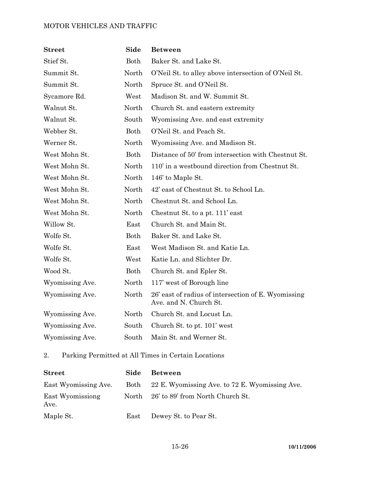| <b>Street</b>   | Side  | <b>Between</b>                                                                |
|-----------------|-------|-------------------------------------------------------------------------------|
| Stief St.       | Both  | Baker St. and Lake St.                                                        |
| Summit St.      | North | O'Neil St. to alley above intersection of O'Neil St.                          |
| Summit St.      | North | Spruce St. and O'Neil St.                                                     |
| Sycamore Rd.    | West  | Madison St. and W. Summit St.                                                 |
| Walnut St.      | North | Church St. and eastern extremity                                              |
| Walnut St.      | South | Wyomissing Ave. and east extremity                                            |
| Webber St.      | Both  | O'Neil St. and Peach St.                                                      |
| Werner St.      | North | Wyomissing Ave. and Madison St.                                               |
| West Mohn St.   | Both  | Distance of 50' from intersection with Chestnut St.                           |
| West Mohn St.   | North | 110' in a westbound direction from Chestnut St.                               |
| West Mohn St.   | North | 146' to Maple St.                                                             |
| West Mohn St.   | North | 42' east of Chestnut St. to School Ln.                                        |
| West Mohn St.   | North | Chestnut St. and School Ln.                                                   |
| West Mohn St.   | North | Chestnut St. to a pt. 111' east                                               |
| Willow St.      | East  | Church St. and Main St.                                                       |
| Wolfe St.       | Both  | Baker St. and Lake St.                                                        |
| Wolfe St.       | East  | West Madison St. and Katie Ln.                                                |
| Wolfe St.       | West  | Katie Ln. and Slichter Dr.                                                    |
| Wood St.        | Both  | Church St. and Epler St.                                                      |
| Wyomissing Ave. | North | 117' west of Borough line                                                     |
| Wyomissing Ave. | North | 26' east of radius of intersection of E. Wyomissing<br>Ave. and N. Church St. |
| Wyomissing Ave. | North | Church St. and Locust Ln.                                                     |
| Wyomissing Ave. | South | Church St. to pt. 101' west                                                   |
| Wyomissing Ave. | South | Main St. and Werner St.                                                       |

2. Parking Permitted at All Times in Certain Locations

| <b>Street</b>            | Side  | <b>Between</b>                                      |
|--------------------------|-------|-----------------------------------------------------|
| East Wyomissing Ave.     |       | Both 22 E. Wyomissing Ave. to 72 E. Wyomissing Ave. |
| East Wyomissiong<br>Ave. | North | 26' to 89' from North Church St.                    |
| Maple St.                | East  | Dewey St. to Pear St.                               |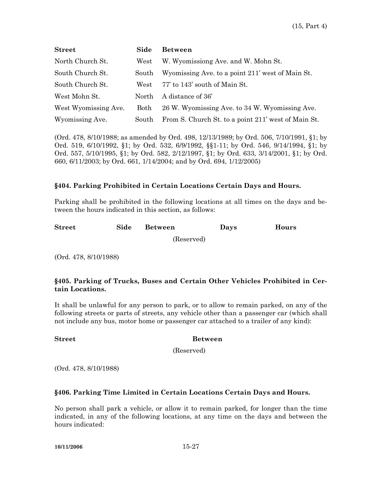| <b>Street</b>        | Side  | <b>Between</b>                                      |
|----------------------|-------|-----------------------------------------------------|
| North Church St.     | West  | W. Wyomissiong Ave. and W. Mohn St.                 |
| South Church St.     | South | Wyomissing Ave. to a point 211' west of Main St.    |
| South Church St.     | West  | 77' to 143' south of Main St.                       |
| West Mohn St.        | North | A distance of 36 <sup>'</sup>                       |
| West Wyomissing Ave. | Both  | 26 W. Wyomissing Ave. to 34 W. Wyomissing Ave.      |
| Wyomissing Ave.      | South | From S. Church St. to a point 211' west of Main St. |

(Ord. 478, 8/10/1988; as amended by Ord. 498, 12/13/1989; by Ord. 506, 7/10/1991, §1; by Ord. 519, 6/10/1992, §1; by Ord. 532, 6/9/1992, §§1-11; by Ord. 546, 9/14/1994, §1; by Ord. 557, 5/10/1995, §1; by Ord. 582, 2/12/1997, §1; by Ord. 633, 3/14/2001, §1; by Ord. 660, 6/11/2003; by Ord. 661, 1/14/2004; and by Ord. 694, 1/12/2005)

## **§404. Parking Prohibited in Certain Locations Certain Days and Hours.**

Parking shall be prohibited in the following locations at all times on the days and between the hours indicated in this section, as follows:

| <b>Street</b> | Side Between | Days | Hours |
|---------------|--------------|------|-------|
|               |              |      |       |

(Reserved)

(Ord. 478, 8/10/1988)

# **§405. Parking of Trucks, Buses and Certain Other Vehicles Prohibited in Certain Locations.**

It shall be unlawful for any person to park, or to allow to remain parked, on any of the following streets or parts of streets, any vehicle other than a passenger car (which shall not include any bus, motor home or passenger car attached to a trailer of any kind):

#### **Street Between**

(Reserved)

(Ord. 478, 8/10/1988)

#### **§406. Parking Time Limited in Certain Locations Certain Days and Hours.**

No person shall park a vehicle, or allow it to remain parked, for longer than the time indicated, in any of the following locations, at any time on the days and between the hours indicated: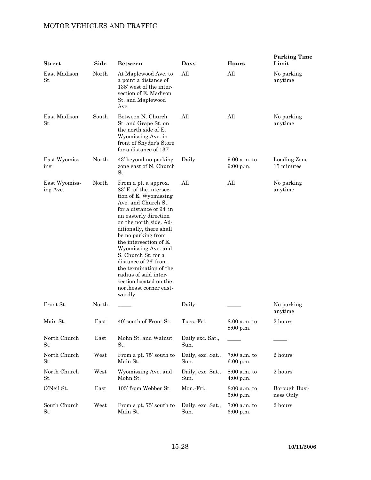| <b>Street</b>             | Side  | <b>Between</b>                                                                                                                                                                                                                                                                                                                                                                                                                                   | Days                      | Hours                       | <b>Parking Time</b><br>Limit |
|---------------------------|-------|--------------------------------------------------------------------------------------------------------------------------------------------------------------------------------------------------------------------------------------------------------------------------------------------------------------------------------------------------------------------------------------------------------------------------------------------------|---------------------------|-----------------------------|------------------------------|
| East Madison<br>St.       | North | At Maplewood Ave. to<br>a point a distance of<br>138' west of the inter-<br>section of E. Madison<br>St. and Maplewood<br>Ave.                                                                                                                                                                                                                                                                                                                   | All                       | All                         | No parking<br>anytime        |
| East Madison<br>St.       | South | Between N. Church<br>St. and Grape St. on<br>the north side of E.<br>Wyomissing Ave. in<br>front of Snyder's Store<br>for a distance of 137                                                                                                                                                                                                                                                                                                      | All                       | All                         | No parking<br>anytime        |
| East Wyomiss-<br>ing      | North | 43' beyond no-parking<br>zone east of N. Church<br>St.                                                                                                                                                                                                                                                                                                                                                                                           | Daily                     | $9:00$ a.m. to<br>9:00 p.m. | Loading Zone-<br>15 minutes  |
| East Wyomiss-<br>ing Ave. | North | From a pt. a approx.<br>83' E. of the intersec-<br>tion of E. Wyomissing<br>Ave. and Church St.<br>for a distance of 94' in<br>an easterly direction<br>on the north side. Ad-<br>ditionally, there shall<br>be no parking from<br>the intersection of E.<br>Wyomissing Ave. and<br>S. Church St. for a<br>distance of 26' from<br>the termination of the<br>radius of said inter-<br>section located on the<br>northeast corner east-<br>wardly | All                       | All                         | No parking<br>anytime        |
| Front St.                 | North |                                                                                                                                                                                                                                                                                                                                                                                                                                                  | Daily                     |                             | No parking<br>anytime        |
| Main St.                  | East  | 40' south of Front St.                                                                                                                                                                                                                                                                                                                                                                                                                           | Tues.-Fri.                | $8:00$ a.m. to<br>8:00 p.m. | 2 hours                      |
| North Church<br>St.       | East  | Mohn St. and Walnut<br>St.                                                                                                                                                                                                                                                                                                                                                                                                                       | Daily exc. Sat.,<br>Sun.  |                             |                              |
| North Church<br>St.       | West  | From a pt. 75' south to<br>Main St.                                                                                                                                                                                                                                                                                                                                                                                                              | Daily, exc. Sat.,<br>Sun. | $7:00$ a.m. to<br>6:00 p.m. | 2 hours                      |
| North Church<br>St.       | West  | Wyomissing Ave. and<br>Mohn St.                                                                                                                                                                                                                                                                                                                                                                                                                  | Daily, exc. Sat.,<br>Sun. | $8:00$ a.m. to<br>4:00 p.m. | 2 hours                      |
| O'Neil St.                | East  | 105' from Webber St.                                                                                                                                                                                                                                                                                                                                                                                                                             | Mon.-Fri.                 | 8:00 a.m. to<br>$5:00$ p.m. | Borough Busi-<br>ness Only   |
| South Church<br>St.       | West  | From a pt. 75' south to<br>Main St.                                                                                                                                                                                                                                                                                                                                                                                                              | Daily, exc. Sat.,<br>Sun. | $7:00$ a.m. to<br>6:00 p.m. | 2 hours                      |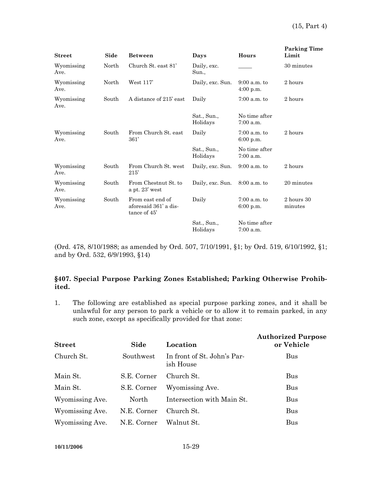| <b>Street</b>      | Side  | <b>Between</b>                                            | Days                    | Hours                         | <b>Parking Time</b><br>Limit    |
|--------------------|-------|-----------------------------------------------------------|-------------------------|-------------------------------|---------------------------------|
| Wyomissing<br>Ave. | North | Church St. east 81'                                       | Daily, exc.<br>Sun.,    |                               | 30 minutes                      |
| Wyomissing<br>Ave. | North | West $117'$                                               | Daily, exc. Sun.        | $9:00$ a.m. to<br>$4:00$ p.m. | 2 hours                         |
| Wyomissing<br>Ave. | South | A distance of 215' east                                   | Daily                   | $7:00$ a.m. to                | 2 hours                         |
|                    |       |                                                           | Sat., Sun.,<br>Holidays | No time after<br>$7:00$ a.m.  |                                 |
| Wyomissing<br>Ave. | South | From Church St. east<br>361'                              | Daily                   | $7:00$ a.m. to<br>6:00 p.m.   | 2 hours                         |
|                    |       |                                                           | Sat., Sun.,<br>Holidays | No time after<br>$7:00$ a.m.  |                                 |
| Wyomissing<br>Ave. | South | From Church St. west<br>215'                              | Daily, exc. Sun.        | $9:00$ a.m. to                | 2 hours                         |
| Wyomissing<br>Ave. | South | From Chestnut St. to<br>a pt. $23'$ west                  | Daily, exc. Sun.        | $8:00$ a.m. to                | 20 minutes                      |
| Wyomissing<br>Ave. | South | From east end of<br>aforesaid 361' a dis-<br>tance of 45' | Daily                   | $7:00$ a.m. to<br>$6:00$ p.m. | $2\ {\rm hours}\ 30$<br>minutes |
|                    |       |                                                           | Sat., Sun.,<br>Holidays | No time after<br>$7:00$ a.m.  |                                 |

(Ord. 478, 8/10/1988; as amended by Ord. 507, 7/10/1991, §1; by Ord. 519, 6/10/1992, §1; and by Ord. 532, 6/9/1993, §14)

# **§407. Special Purpose Parking Zones Established; Parking Otherwise Prohibited.**

1. The following are established as special purpose parking zones, and it shall be unlawful for any person to park a vehicle or to allow it to remain parked, in any such zone, except as specifically provided for that zone:

| <b>Street</b>   | Side        | Location                                 | <b>Authorized Purpose</b><br>or Vehicle |
|-----------------|-------------|------------------------------------------|-----------------------------------------|
| Church St.      | Southwest   | In front of St. John's Par-<br>ish House | Bus                                     |
| Main St.        | S.E. Corner | Church St.                               | Bus                                     |
| Main St.        | S.E. Corner | Wyomissing Ave.                          | Bus                                     |
| Wyomissing Ave. | North       | Intersection with Main St.               | Bus                                     |
| Wyomissing Ave. | N.E. Corner | Church St.                               | <b>Bus</b>                              |
| Wyomissing Ave. | N.E. Corner | Walnut St.                               | <b>Bus</b>                              |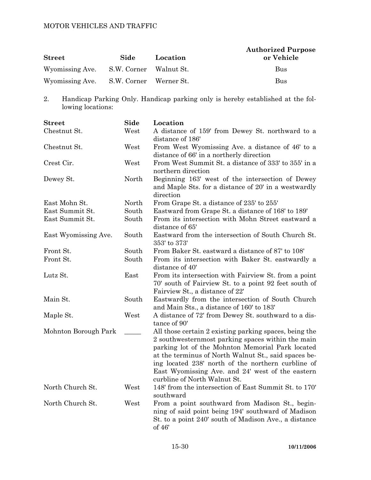| <b>Street</b>                          | Side | Location | <b>Authorized Purpose</b><br>or Vehicle |
|----------------------------------------|------|----------|-----------------------------------------|
| Wyomissing Ave. S.W. Corner Walnut St. |      |          | <b>Bus</b>                              |
| Wyomissing Ave. S.W. Corner Werner St. |      |          | <b>Bus</b>                              |

2. Handicap Parking Only. Handicap parking only is hereby established at the following locations:

| <b>Street</b>        | Side  | Location                                                             |
|----------------------|-------|----------------------------------------------------------------------|
| Chestnut St.         | West  | A distance of 159' from Dewey St. northward to a                     |
|                      |       | distance of 186'                                                     |
| Chestnut St.         | West  | From West Wyomissing Ave. a distance of 46' to a                     |
|                      |       | distance of 66' in a northerly direction                             |
| Crest Cir.           | West  | From West Summit St. a distance of 333' to 355' in a                 |
|                      |       | northern direction                                                   |
| Dewey St.            | North | Beginning 163' west of the intersection of Dewey                     |
|                      |       | and Maple Sts. for a distance of 20' in a westwardly                 |
|                      |       | direction                                                            |
| East Mohn St.        | North | From Grape St. a distance of 235' to 255'                            |
| East Summit St.      | South | Eastward from Grape St. a distance of 168' to 189'                   |
| East Summit St.      | South | From its intersection with Mohn Street eastward a<br>distance of 65' |
| East Wyomissing Ave. | South | Eastward from the intersection of South Church St.                   |
|                      |       | 353' to 373'                                                         |
| Front St.            | South | From Baker St. eastward a distance of 87' to 108'                    |
| Front St.            | South | From its intersection with Baker St. eastwardly a                    |
|                      |       | distance of 40'                                                      |
| Lutz St.             | East  | From its intersection with Fairview St. from a point                 |
|                      |       | 70' south of Fairview St. to a point 92 feet south of                |
|                      |       | Fairview St., a distance of 22'                                      |
| Main St.             | South | Eastwardly from the intersection of South Church                     |
|                      |       | and Main Sts., a distance of 160' to 183'                            |
| Maple St.            | West  | A distance of 72' from Dewey St. southward to a dis-                 |
|                      |       | tance of 90'                                                         |
| Mohnton Borough Park |       | All those certain 2 existing parking spaces, being the               |
|                      |       | 2 southwesternmost parking spaces within the main                    |
|                      |       | parking lot of the Mohnton Memorial Park located                     |
|                      |       | at the terminus of North Walnut St., said spaces be-                 |
|                      |       | ing located 238' north of the northern curbline of                   |
|                      |       | East Wyomissing Ave. and 24' west of the eastern                     |
|                      |       | curbline of North Walnut St.                                         |
| North Church St.     | West  | 148' from the intersection of East Summit St. to 170'                |
|                      |       | southward                                                            |
| North Church St.     | West  | From a point southward from Madison St., begin-                      |
|                      |       | ning of said point being 194' southward of Madison                   |
|                      |       | St. to a point 240' south of Madison Ave., a distance                |
|                      |       | of 46'                                                               |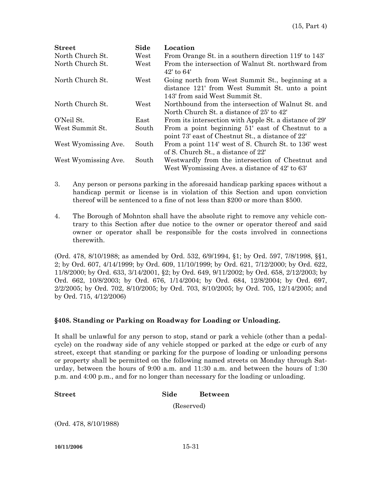| <b>Street</b>        | Side  | Location                                                                                                                              |
|----------------------|-------|---------------------------------------------------------------------------------------------------------------------------------------|
| North Church St.     | West  | From Orange St. in a southern direction 119' to 143'                                                                                  |
| North Church St.     | West  | From the intersection of Walnut St. northward from<br>$42'$ to $64'$                                                                  |
| North Church St.     | West  | Going north from West Summit St., beginning at a<br>distance 121' from West Summit St. unto a point<br>143' from said West Summit St. |
| North Church St.     | West  | Northbound from the intersection of Walnut St. and<br>North Church St. a distance of 25' to 42'                                       |
| O'Neil St.           | East  | From its intersection with Apple St. a distance of 29'                                                                                |
| West Summit St.      | South | From a point beginning 51' east of Chestnut to a<br>point 73' east of Chestnut St., a distance of 22'                                 |
| West Wyomissing Ave. | South | From a point 114' west of S. Church St. to 136' west<br>of S. Church St., a distance of 22'                                           |
| West Wyomissing Ave. | South | Westwardly from the intersection of Chestnut and<br>West Wyomissing Aves. a distance of 42' to 63'                                    |

- 3. Any person or persons parking in the aforesaid handicap parking spaces without a handicap permit or license is in violation of this Section and upon conviction thereof will be sentenced to a fine of not less than \$200 or more than \$500.
- 4. The Borough of Mohnton shall have the absolute right to remove any vehicle contrary to this Section after due notice to the owner or operator thereof and said owner or operator shall be responsible for the costs involved in connections therewith.

(Ord. 478, 8/10/1988; as amended by Ord. 532, 6/9/1994, §1; by Ord. 597, 7/8/1998, §§1, 2; by Ord. 607, 4/14/1999; by Ord. 609, 11/10/1999; by Ord. 621, 7/12/2000; by Ord. 622, 11/8/2000; by Ord. 633, 3/14/2001, §2; by Ord. 649, 9/11/2002; by Ord. 658, 2/12/2003; by Ord. 662, 10/8/2003; by Ord. 676, 1/14/2004; by Ord. 684, 12/8/2004; by Ord. 697, 2/2/2005; by Ord. 702, 8/10/2005; by Ord. 703, 8/10/2005; by Ord. 705, 12/14/2005; and by Ord. 715, 4/12/2006)

# **§408. Standing or Parking on Roadway for Loading or Unloading.**

It shall be unlawful for any person to stop, stand or park a vehicle (other than a pedalcycle) on the roadway side of any vehicle stopped or parked at the edge or curb of any street, except that standing or parking for the purpose of loading or unloading persons or property shall be permitted on the following named streets on Monday through Saturday, between the hours of 9:00 a.m. and 11:30 a.m. and between the hours of 1:30 p.m. and 4:00 p.m., and for no longer than necessary for the loading or unloading.

#### **Street Side Between**

(Reserved)

(Ord. 478, 8/10/1988)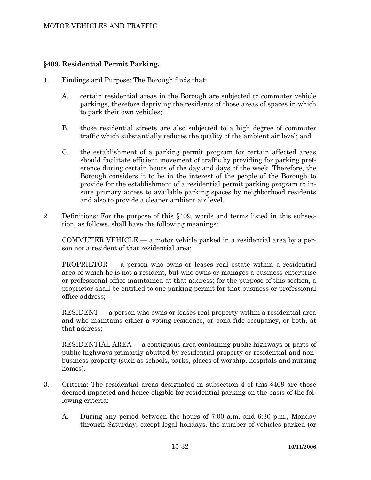# **§409. Residential Permit Parking.**

- 1. Findings and Purpose: The Borough finds that:
	- A. certain residential areas in the Borough are subjected to commuter vehicle parkings, therefore depriving the residents of those areas of spaces in which to park their own vehicles;
	- B. those residential streets are also subjected to a high degree of commuter traffic which substantially reduces the quality of the ambient air level; and
	- C. the establishment of a parking permit program for certain affected areas should facilitate efficient movement of traffic by providing for parking preference during certain hours of the day and days of the week. Therefore, the Borough considers it to be in the interest of the people of the Borough to provide for the establishment of a residential permit parking program to insure primary access to available parking spaces by neighborhood residents and also to provide a cleaner ambient air level.
- 2. Definitions: For the purpose of this §409, words and terms listed in this subsection, as follows, shall have the following meanings:

 COMMUTER VEHICLE — a motor vehicle parked in a residential area by a person not a resident of that residential area;

 PROPRIETOR — a person who owns or leases real estate within a residential area of which he is not a resident, but who owns or manages a business enterprise or professional office maintained at that address; for the purpose of this section, a proprietor shall be entitled to one parking permit for that business or professional office address;

 RESIDENT — a person who owns or leases real property within a residential area and who maintains either a voting residence, or bona fide occupancy, or both, at that address;

 RESIDENTIAL AREA — a contiguous area containing public highways or parts of public highways primarily abutted by residential property or residential and nonbusiness property (such as schools, parks, places of worship, hospitals and nursing homes).

- 3. Criteria: The residential areas designated in subsection 4 of this §409 are those deemed impacted and hence eligible for residential parking on the basis of the following criteria:
	- A. During any period between the hours of 7:00 a.m. and 6:30 p.m., Monday through Saturday, except legal holidays, the number of vehicles parked (or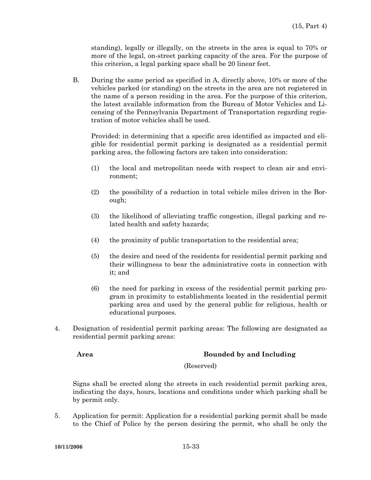standing), legally or illegally, on the streets in the area is equal to 70% or more of the legal, on-street parking capacity of the area. For the purpose of this criterion, a legal parking space shall be 20 linear feet.

 B. During the same period as specified in A, directly above, 10% or more of the vehicles parked (or standing) on the streets in the area are not registered in the name of a person residing in the area. For the purpose of this criterion, the latest available information from the Bureau of Motor Vehicles and Licensing of the Pennsylvania Department of Transportation regarding registration of motor vehicles shall be used.

 Provided: in determining that a specific area identified as impacted and eligible for residential permit parking is designated as a residential permit parking area, the following factors are taken into consideration:

- (1) the local and metropolitan needs with respect to clean air and environment;
- (2) the possibility of a reduction in total vehicle miles driven in the Borough;
- (3) the likelihood of alleviating traffic congestion, illegal parking and related health and safety hazards;
- (4) the proximity of public transportation to the residential area;
- (5) the desire and need of the residents for residential permit parking and their willingness to bear the administrative costs in connection with it; and
- (6) the need for parking in excess of the residential permit parking program in proximity to establishments located in the residential permit parking area and used by the general public for religious, health or educational purposes.
- 4. Designation of residential permit parking areas: The following are designated as residential permit parking areas:

# **Area Bounded by and Including**

#### (Reserved)

 Signs shall be erected along the streets in each residential permit parking area, indicating the days, hours, locations and conditions under which parking shall be by permit only.

5. Application for permit: Application for a residential parking permit shall be made to the Chief of Police by the person desiring the permit, who shall be only the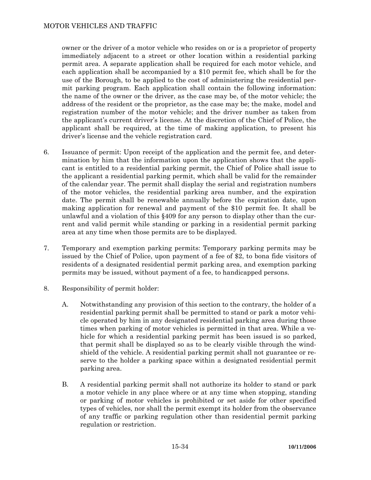owner or the driver of a motor vehicle who resides on or is a proprietor of property immediately adjacent to a street or other location within a residential parking permit area. A separate application shall be required for each motor vehicle, and each application shall be accompanied by a \$10 permit fee, which shall be for the use of the Borough, to be applied to the cost of administering the residential permit parking program. Each application shall contain the following information: the name of the owner or the driver, as the case may be, of the motor vehicle; the address of the resident or the proprietor, as the case may be; the make, model and registration number of the motor vehicle; and the driver number as taken from the applicant's current driver's license. At the discretion of the Chief of Police, the applicant shall be required, at the time of making application, to present his driver's license and the vehicle registration card.

- 6. Issuance of permit: Upon receipt of the application and the permit fee, and determination by him that the information upon the application shows that the applicant is entitled to a residential parking permit, the Chief of Police shall issue to the applicant a residential parking permit, which shall be valid for the remainder of the calendar year. The permit shall display the serial and registration numbers of the motor vehicles, the residential parking area number, and the expiration date. The permit shall be renewable annually before the expiration date, upon making application for renewal and payment of the \$10 permit fee. It shall be unlawful and a violation of this §409 for any person to display other than the current and valid permit while standing or parking in a residential permit parking area at any time when those permits are to be displayed.
- 7. Temporary and exemption parking permits: Temporary parking permits may be issued by the Chief of Police, upon payment of a fee of \$2, to bona fide visitors of residents of a designated residential permit parking area, and exemption parking permits may be issued, without payment of a fee, to handicapped persons.
- 8. Responsibility of permit holder:
	- A. Notwithstanding any provision of this section to the contrary, the holder of a residential parking permit shall be permitted to stand or park a motor vehicle operated by him in any designated residential parking area during those times when parking of motor vehicles is permitted in that area. While a vehicle for which a residential parking permit has been issued is so parked, that permit shall be displayed so as to be clearly visible through the windshield of the vehicle. A residential parking permit shall not guarantee or reserve to the holder a parking space within a designated residential permit parking area.
	- B. A residential parking permit shall not authorize its holder to stand or park a motor vehicle in any place where or at any time when stopping, standing or parking of motor vehicles is prohibited or set aside for other specified types of vehicles, nor shall the permit exempt its holder from the observance of any traffic or parking regulation other than residential permit parking regulation or restriction.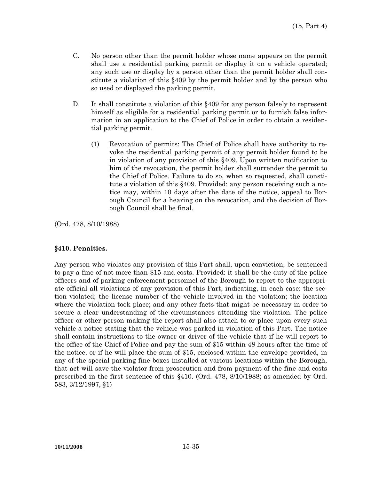- C. No person other than the permit holder whose name appears on the permit shall use a residential parking permit or display it on a vehicle operated; any such use or display by a person other than the permit holder shall constitute a violation of this §409 by the permit holder and by the person who so used or displayed the parking permit.
- D. It shall constitute a violation of this §409 for any person falsely to represent himself as eligible for a residential parking permit or to furnish false information in an application to the Chief of Police in order to obtain a residential parking permit.
	- (1) Revocation of permits: The Chief of Police shall have authority to revoke the residential parking permit of any permit holder found to be in violation of any provision of this §409. Upon written notification to him of the revocation, the permit holder shall surrender the permit to the Chief of Police. Failure to do so, when so requested, shall constitute a violation of this §409. Provided: any person receiving such a notice may, within 10 days after the date of the notice, appeal to Borough Council for a hearing on the revocation, and the decision of Borough Council shall be final.

(Ord. 478, 8/10/1988)

#### **§410. Penalties.**

Any person who violates any provision of this Part shall, upon conviction, be sentenced to pay a fine of not more than \$15 and costs. Provided: it shall be the duty of the police officers and of parking enforcement personnel of the Borough to report to the appropriate official all violations of any provision of this Part, indicating, in each case: the section violated; the license number of the vehicle involved in the violation; the location where the violation took place; and any other facts that might be necessary in order to secure a clear understanding of the circumstances attending the violation. The police officer or other person making the report shall also attach to or place upon every such vehicle a notice stating that the vehicle was parked in violation of this Part. The notice shall contain instructions to the owner or driver of the vehicle that if he will report to the office of the Chief of Police and pay the sum of \$15 within 48 hours after the time of the notice, or if he will place the sum of \$15, enclosed within the envelope provided, in any of the special parking fine boxes installed at various locations within the Borough, that act will save the violator from prosecution and from payment of the fine and costs prescribed in the first sentence of this §410. (Ord. 478, 8/10/1988; as amended by Ord. 583, 3/12/1997, §1)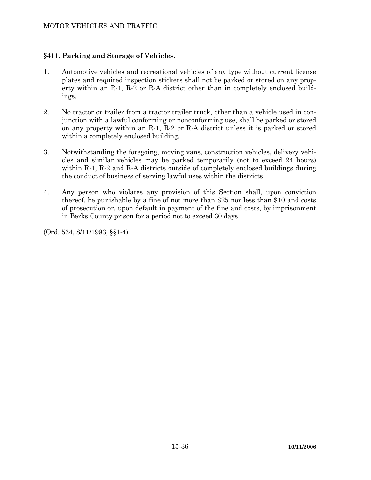# **§411. Parking and Storage of Vehicles.**

- 1. Automotive vehicles and recreational vehicles of any type without current license plates and required inspection stickers shall not be parked or stored on any property within an R-1, R-2 or R-A district other than in completely enclosed buildings.
- 2. No tractor or trailer from a tractor trailer truck, other than a vehicle used in conjunction with a lawful conforming or nonconforming use, shall be parked or stored on any property within an R-1, R-2 or R-A district unless it is parked or stored within a completely enclosed building.
- 3. Notwithstanding the foregoing, moving vans, construction vehicles, delivery vehicles and similar vehicles may be parked temporarily (not to exceed 24 hours) within R-1, R-2 and R-A districts outside of completely enclosed buildings during the conduct of business of serving lawful uses within the districts.
- 4. Any person who violates any provision of this Section shall, upon conviction thereof, be punishable by a fine of not more than \$25 nor less than \$10 and costs of prosecution or, upon default in payment of the fine and costs, by imprisonment in Berks County prison for a period not to exceed 30 days.

(Ord. 534, 8/11/1993, §§1-4)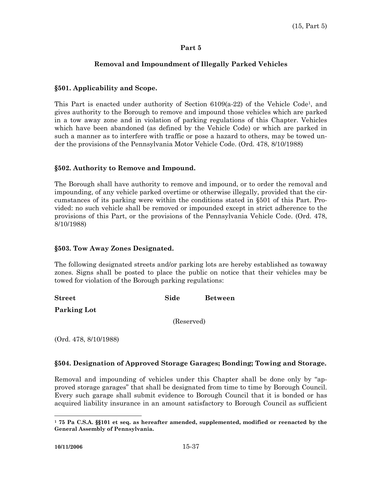# **Removal and Impoundment of Illegally Parked Vehicles**

# **§501. Applicability and Scope.**

This Part is enacted under authority of Section 6109(a-22) of the Vehicle Code1, and gives authority to the Borough to remove and impound those vehicles which are parked in a tow away zone and in violation of parking regulations of this Chapter. Vehicles which have been abandoned (as defined by the Vehicle Code) or which are parked in such a manner as to interfere with traffic or pose a hazard to others, may be towed under the provisions of the Pennsylvania Motor Vehicle Code. (Ord. 478, 8/10/1988)

## **§502. Authority to Remove and Impound.**

The Borough shall have authority to remove and impound, or to order the removal and impounding, of any vehicle parked overtime or otherwise illegally, provided that the circumstances of its parking were within the conditions stated in §501 of this Part. Provided: no such vehicle shall be removed or impounded except in strict adherence to the provisions of this Part, or the provisions of the Pennsylvania Vehicle Code. (Ord. 478, 8/10/1988)

#### **§503. Tow Away Zones Designated.**

The following designated streets and/or parking lots are hereby established as towaway zones. Signs shall be posted to place the public on notice that their vehicles may be towed for violation of the Borough parking regulations:

| <b>Street</b>      | Side       | <b>Between</b> |
|--------------------|------------|----------------|
| <b>Parking Lot</b> |            |                |
|                    | (Reserved) |                |

(Ord. 478, 8/10/1988)

# **§504. Designation of Approved Storage Garages; Bonding; Towing and Storage.**

Removal and impounding of vehicles under this Chapter shall be done only by "approved storage garages" that shall be designated from time to time by Borough Council. Every such garage shall submit evidence to Borough Council that it is bonded or has acquired liability insurance in an amount satisfactory to Borough Council as sufficient

 $\overline{a}$ 

**<sup>1 75</sup> Pa C.S.A. §§101 et seq. as hereafter amended, supplemented, modified or reenacted by the General Assembly of Pennsylvania.**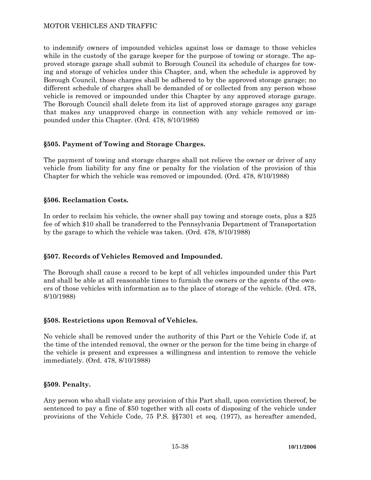to indemnify owners of impounded vehicles against loss or damage to those vehicles while in the custody of the garage keeper for the purpose of towing or storage. The approved storage garage shall submit to Borough Council its schedule of charges for towing and storage of vehicles under this Chapter, and, when the schedule is approved by Borough Council, those charges shall be adhered to by the approved storage garage; no different schedule of charges shall be demanded of or collected from any person whose vehicle is removed or impounded under this Chapter by any approved storage garage. The Borough Council shall delete from its list of approved storage garages any garage that makes any unapproved charge in connection with any vehicle removed or impounded under this Chapter. (Ord. 478, 8/10/1988)

# **§505. Payment of Towing and Storage Charges.**

The payment of towing and storage charges shall not relieve the owner or driver of any vehicle from liability for any fine or penalty for the violation of the provision of this Chapter for which the vehicle was removed or impounded. (Ord. 478, 8/10/1988)

## **§506. Reclamation Costs.**

In order to reclaim his vehicle, the owner shall pay towing and storage costs, plus a \$25 fee of which \$10 shall be transferred to the Pennsylvania Department of Transportation by the garage to which the vehicle was taken. (Ord. 478, 8/10/1988)

# **§507. Records of Vehicles Removed and Impounded.**

The Borough shall cause a record to be kept of all vehicles impounded under this Part and shall be able at all reasonable times to furnish the owners or the agents of the owners of those vehicles with information as to the place of storage of the vehicle. (Ord. 478, 8/10/1988)

#### **§508. Restrictions upon Removal of Vehicles.**

No vehicle shall be removed under the authority of this Part or the Vehicle Code if, at the time of the intended removal, the owner or the person for the time being in charge of the vehicle is present and expresses a willingness and intention to remove the vehicle immediately. (Ord. 478, 8/10/1988)

#### **§509. Penalty.**

Any person who shall violate any provision of this Part shall, upon conviction thereof, be sentenced to pay a fine of \$50 together with all costs of disposing of the vehicle under provisions of the Vehicle Code, 75 P.S. §§7301 et seq. (1977), as hereafter amended,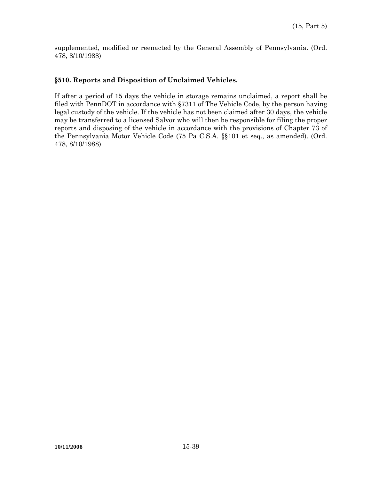supplemented, modified or reenacted by the General Assembly of Pennsylvania. (Ord. 478, 8/10/1988)

# **§510. Reports and Disposition of Unclaimed Vehicles.**

If after a period of 15 days the vehicle in storage remains unclaimed, a report shall be filed with PennDOT in accordance with §7311 of The Vehicle Code, by the person having legal custody of the vehicle. If the vehicle has not been claimed after 30 days, the vehicle may be transferred to a licensed Salvor who will then be responsible for filing the proper reports and disposing of the vehicle in accordance with the provisions of Chapter 73 of the Pennsylvania Motor Vehicle Code (75 Pa C.S.A. §§101 et seq., as amended). (Ord. 478, 8/10/1988)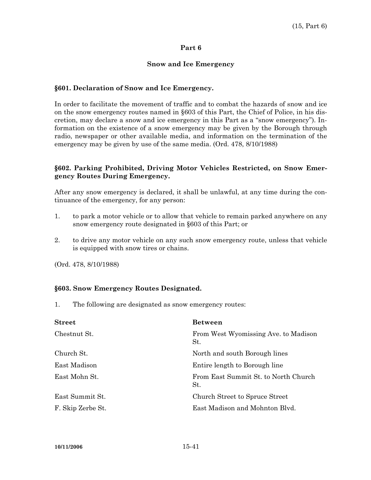# **Snow and Ice Emergency**

## **§601. Declaration of Snow and Ice Emergency.**

In order to facilitate the movement of traffic and to combat the hazards of snow and ice on the snow emergency routes named in §603 of this Part, the Chief of Police, in his discretion, may declare a snow and ice emergency in this Part as a "snow emergency"). Information on the existence of a snow emergency may be given by the Borough through radio, newspaper or other available media, and information on the termination of the emergency may be given by use of the same media. (Ord. 478, 8/10/1988)

# **§602. Parking Prohibited, Driving Motor Vehicles Restricted, on Snow Emergency Routes During Emergency.**

After any snow emergency is declared, it shall be unlawful, at any time during the continuance of the emergency, for any person:

- 1. to park a motor vehicle or to allow that vehicle to remain parked anywhere on any snow emergency route designated in §603 of this Part; or
- 2. to drive any motor vehicle on any such snow emergency route, unless that vehicle is equipped with snow tires or chains.

(Ord. 478, 8/10/1988)

#### **§603. Snow Emergency Routes Designated.**

1. The following are designated as snow emergency routes:

| <b>Street</b>     | <b>Between</b>                              |
|-------------------|---------------------------------------------|
| Chestnut St.      | From West Wyomissing Ave. to Madison<br>St. |
| Church St.        | North and south Borough lines               |
| East Madison      | Entire length to Borough line               |
| East Mohn St.     | From East Summit St. to North Church<br>St. |
| East Summit St.   | Church Street to Spruce Street              |
| F. Skip Zerbe St. | East Madison and Mohnton Blvd.              |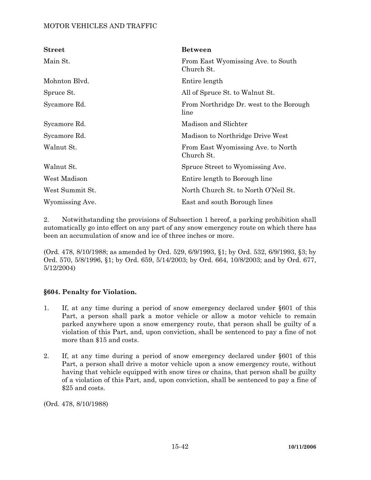| <b>Street</b>   | <b>Between</b>                                   |
|-----------------|--------------------------------------------------|
| Main St.        | From East Wyomissing Ave. to South<br>Church St. |
| Mohnton Blvd.   | Entire length                                    |
| Spruce St.      | All of Spruce St. to Walnut St.                  |
| Sycamore Rd.    | From Northridge Dr. west to the Borough<br>line  |
| Sycamore Rd.    | Madison and Slichter                             |
| Sycamore Rd.    | Madison to Northridge Drive West                 |
| Walnut St.      | From East Wyomissing Ave. to North<br>Church St. |
| Walnut St.      | Spruce Street to Wyomissing Ave.                 |
| West Madison    | Entire length to Borough line                    |
| West Summit St. | North Church St. to North O'Neil St.             |
| Wyomissing Ave. | East and south Borough lines                     |

2. Notwithstanding the provisions of Subsection 1 hereof, a parking prohibition shall automatically go into effect on any part of any snow emergency route on which there has been an accumulation of snow and ice of three inches or more.

(Ord. 478, 8/10/1988; as amended by Ord. 529, 6/9/1993, §1; by Ord. 532, 6/9/1993, §3; by Ord. 570, 5/8/1996, §1; by Ord. 659, 5/14/2003; by Ord. 664, 10/8/2003; and by Ord. 677, 5/12/2004)

# **§604. Penalty for Violation.**

- 1. If, at any time during a period of snow emergency declared under §601 of this Part, a person shall park a motor vehicle or allow a motor vehicle to remain parked anywhere upon a snow emergency route, that person shall be guilty of a violation of this Part, and, upon conviction, shall be sentenced to pay a fine of not more than \$15 and costs.
- 2. If, at any time during a period of snow emergency declared under §601 of this Part, a person shall drive a motor vehicle upon a snow emergency route, without having that vehicle equipped with snow tires or chains, that person shall be guilty of a violation of this Part, and, upon conviction, shall be sentenced to pay a fine of \$25 and costs.

(Ord. 478, 8/10/1988)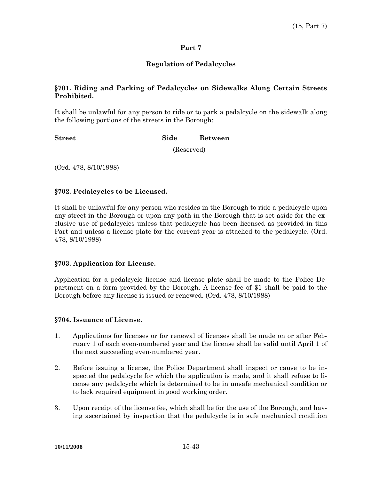# **Regulation of Pedalcycles**

# **§701. Riding and Parking of Pedalcycles on Sidewalks Along Certain Streets Prohibited.**

It shall be unlawful for any person to ride or to park a pedalcycle on the sidewalk along the following portions of the streets in the Borough:

#### **Street Side Between**

(Reserved)

(Ord. 478, 8/10/1988)

## **§702. Pedalcycles to be Licensed.**

It shall be unlawful for any person who resides in the Borough to ride a pedalcycle upon any street in the Borough or upon any path in the Borough that is set aside for the exclusive use of pedalcycles unless that pedalcycle has been licensed as provided in this Part and unless a license plate for the current year is attached to the pedalcycle. (Ord. 478, 8/10/1988)

# **§703. Application for License.**

Application for a pedalcycle license and license plate shall be made to the Police Department on a form provided by the Borough. A license fee of \$1 shall be paid to the Borough before any license is issued or renewed. (Ord. 478, 8/10/1988)

# **§704. Issuance of License.**

- 1. Applications for licenses or for renewal of licenses shall be made on or after February 1 of each even-numbered year and the license shall be valid until April 1 of the next succeeding even-numbered year.
- 2. Before issuing a license, the Police Department shall inspect or cause to be inspected the pedalcycle for which the application is made, and it shall refuse to license any pedalcycle which is determined to be in unsafe mechanical condition or to lack required equipment in good working order.
- 3. Upon receipt of the license fee, which shall be for the use of the Borough, and having ascertained by inspection that the pedalcycle is in safe mechanical condition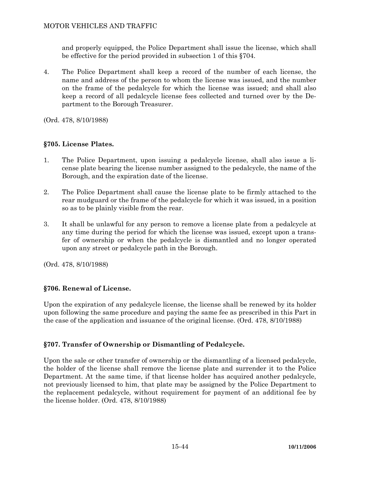and properly equipped, the Police Department shall issue the license, which shall be effective for the period provided in subsection 1 of this §704.

4. The Police Department shall keep a record of the number of each license, the name and address of the person to whom the license was issued, and the number on the frame of the pedalcycle for which the license was issued; and shall also keep a record of all pedalcycle license fees collected and turned over by the Department to the Borough Treasurer.

(Ord. 478, 8/10/1988)

# **§705. License Plates.**

- 1. The Police Department, upon issuing a pedalcycle license, shall also issue a license plate bearing the license number assigned to the pedalcycle, the name of the Borough, and the expiration date of the license.
- 2. The Police Department shall cause the license plate to be firmly attached to the rear mudguard or the frame of the pedalcycle for which it was issued, in a position so as to be plainly visible from the rear.
- 3. It shall be unlawful for any person to remove a license plate from a pedalcycle at any time during the period for which the license was issued, except upon a transfer of ownership or when the pedalcycle is dismantled and no longer operated upon any street or pedalcycle path in the Borough.

(Ord. 478, 8/10/1988)

# **§706. Renewal of License.**

Upon the expiration of any pedalcycle license, the license shall be renewed by its holder upon following the same procedure and paying the same fee as prescribed in this Part in the case of the application and issuance of the original license. (Ord. 478, 8/10/1988)

# **§707. Transfer of Ownership or Dismantling of Pedalcycle.**

Upon the sale or other transfer of ownership or the dismantling of a licensed pedalcycle, the holder of the license shall remove the license plate and surrender it to the Police Department. At the same time, if that license holder has acquired another pedalcycle, not previously licensed to him, that plate may be assigned by the Police Department to the replacement pedalcycle, without requirement for payment of an additional fee by the license holder. (Ord. 478, 8/10/1988)